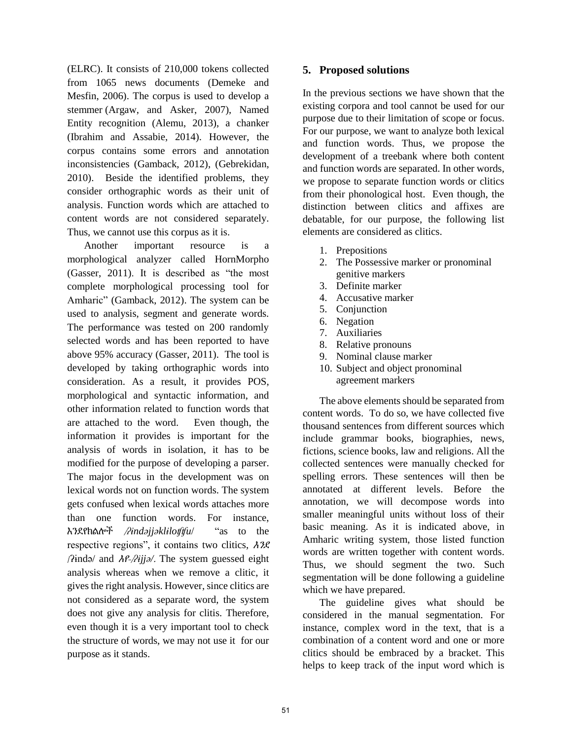(ELRC). It consists of 210,000 tokens collected from 1065 news documents (Demeke and Mesfin, 2006). The corpus is used to develop a stemmer (Argaw, and Asker, 2007), Named Entity recognition (Alemu, 2013), a chanker (Ibrahim and Assabie, 2014). However, the corpus contains some errors and annotation inconsistencies (Gamback, 2012), (Gebrekidan, 2010). Beside the identified problems, they consider orthographic words as their unit of analysis. Function words which are attached to content words are not considered separately. Thus, we cannot use this corpus as it is.

Another important resource is a morphological analyzer called HornMorpho (Gasser, 2011). It is described as "the most complete morphological processing tool for Amharic" (Gamback, 2012). The system can be used to analysis, segment and generate words. The performance was tested on 200 randomly selected words and has been reported to have above 95% accuracy (Gasser, 2011). The tool is developed by taking orthographic words into consideration. As a result, it provides POS, morphological and syntactic information, and other information related to function words that are attached to the word. Even though, the information it provides is important for the analysis of words in isolation, it has to be modified for the purpose of developing a parser. The major focus in the development was on lexical words not on function words. The system gets confused when lexical words attaches more than one function words. For instance, እንደየክልሎች /*ʔɨndəjjəklɨloʧʧu*/ "as to the respective regions", it contains two clitics, እንደ /ʔɨndə/ and እየ-/*ʔɨjjə/*. The system guessed eight analysis whereas when we remove a clitic, it gives the right analysis. However, since clitics are not considered as a separate word, the system does not give any analysis for clitis. Therefore, even though it is a very important tool to check the structure of words, we may not use it for our purpose as it stands.

## **5. Proposed solutions**

In the previous sections we have shown that the existing corpora and tool cannot be used for our purpose due to their limitation of scope or focus. For our purpose, we want to analyze both lexical and function words. Thus, we propose the development of a treebank where both content and function words are separated. In other words, we propose to separate function words or clitics from their phonological host. Even though, the distinction between clitics and affixes are debatable, for our purpose, the following list elements are considered as clitics. Ĩ

- 1. Prepositions
- 2. The Possessive marker or pronominal genitive markers
- 3. Definite marker
- 4. Accusative marker
- 5. Conjunction
- 6. Negation
- 7. Auxiliaries
- 8. Relative pronouns
- 9. Nominal clause marker
- 10. Subject and object pronominal agreement markers

The above elements should be separated from content words. To do so, we have collected five thousand sentences from different sources which include grammar books, biographies, news, fictions, science books, law and religions. All the collected sentences were manually checked for spelling errors. These sentences will then be annotated at different levels. Before the annotation, we will decompose words into smaller meaningful units without loss of their basic meaning. As it is indicated above, in Amharic writing system, those listed function words are written together with content words. Thus, we should segment the two. Such segmentation will be done following a guideline which we have prepared.

The guideline gives what should be considered in the manual segmentation. For instance, complex word in the text, that is a combination of a content word and one or more clitics should be embraced by a bracket. This helps to keep track of the input word which is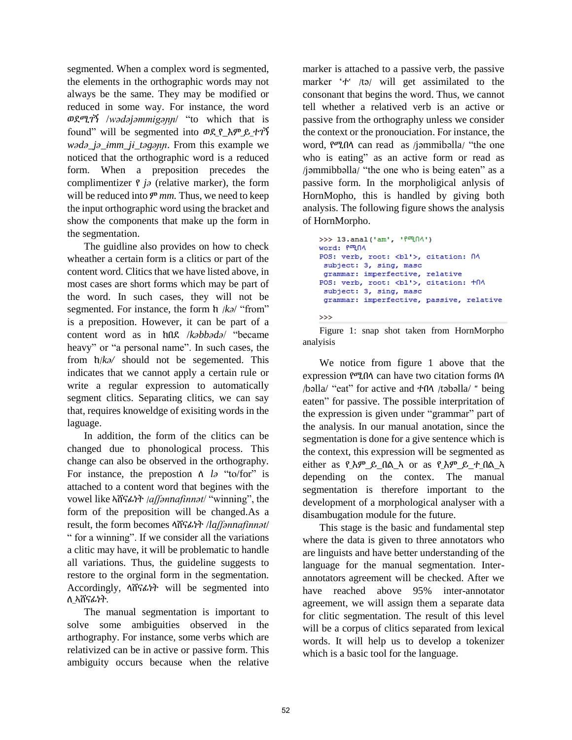segmented. When a complex word is segmented, the elements in the orthographic words may not always be the same. They may be modified or reduced in some way. For instance, the word ወደሚገኝ /*wədəjəmmigəɲɲ*/ "to which that is found" will be segmented into ወደ\_የ\_እም\_ይ\_ተገኝ *wədə\_jə\_ɨmm\_jɨ\_təgəɲɲ*. From this example we noticed that the orthographic word is a reduced form. When a preposition precedes the complimentizer የ *jə* (relative marker), the form will be reduced into ም *mm.* Thus, we need to keep the input orthographic word using the bracket and show the components that make up the form in the segmentation.

The guidline also provides on how to check wheather a certain form is a clitics or part of the content word. Clitics that we have listed above, in most cases are short forms which may be part of the word. In such cases, they will not be segmented. For instance, the form ከ /*kə*/ "from" is a preposition. However, it can be part of a content word as in ከበደ /*kəbbədə*/ "became heavy" or "a personal name". In such cases, the from ከ/*kə/* should not be segemented. This indicates that we cannot apply a certain rule or write a regular expression to automatically segment clitics. Separating clitics, we can say that, requires knoweldge of exisiting words in the laguage.

In addition, the form of the clitics can be changed due to phonological process. This change can also be observed in the orthography. For instance, the prepostion ለ *lə* "to/for" is attached to a content word that begines with the vowel like ኣሸናፊነት /*aʃʃənnafinnət*/ "winning", the form of the preposition will be changed.As a result, the form becomes ላሸናፊነት /*laʃʃənnafinnət*/ " for a winning". If we consider all the variations a clitic may have, it will be problematic to handle all variations. Thus, the guideline suggests to restore to the orginal form in the segmentation. Accordingly, ላሸናፊነት will be segmented into ለ\_ኣሸናፊነት.

The manual segmentation is important to solve some ambiguities observed in the arthography. For instance, some verbs which are relativized can be in active or passive form. This ambiguity occurs because when the relative

marker is attached to a passive verb, the passive marker 'ተ' /tə/ will get assimilated to the consonant that begins the word. Thus, we cannot tell whether a relatived verb is an active or passive from the orthography unless we consider the context or the pronouciation. For instance, the word, የሚበላ can read as /jəmmibəlla/ "the one who is eating" as an active form or read as /jəmmibbəlla/ "the one who is being eaten" as a passive form. In the morpholigical anlysis of HornMopho, this is handled by giving both analysis. The following figure shows the analysis of HornMorpho.

```
>>> 13.anal('am', 'f<sup>on</sup>{\Lambda')
word: P<sup>op</sup>NA
POS: verb, root: <bl'>, citation: NA
 subject: 3, sing, masc
 grammar: imperfective, relative
POS: verb, root: <bl'>, citation: +n^
 subject: 3, sing, masc
 grammar: imperfective, passive, relative
>>
```
Figure 1: snap shot taken from HornMorpho analyisis

We notice from figure 1 above that the expression የሚበላ can have two citation forms በላ /bəlla/ "eat" for active and ተበላ /təbəlla/ " being eaten" for passive. The possible interpritation of the expression is given under "grammar" part of the analysis. In our manual anotation, since the segmentation is done for a give sentence which is the context, this expression will be segmented as either as የ\_እም\_ይ\_በል\_ኣ or as የ\_እም\_ይ\_ተ\_በል\_ኣ depending on the contex. The manual segmentation is therefore important to the development of a morphological analyser with a disambugation module for the future.

This stage is the basic and fundamental step where the data is given to three annotators who are linguists and have better understanding of the language for the manual segmentation. Interannotators agreement will be checked. After we have reached above 95% inter-annotator agreement, we will assign them a separate data for clitic segmentation. The result of this level will be a corpus of clitics separated from lexical words. It will help us to develop a tokenizer which is a basic tool for the language.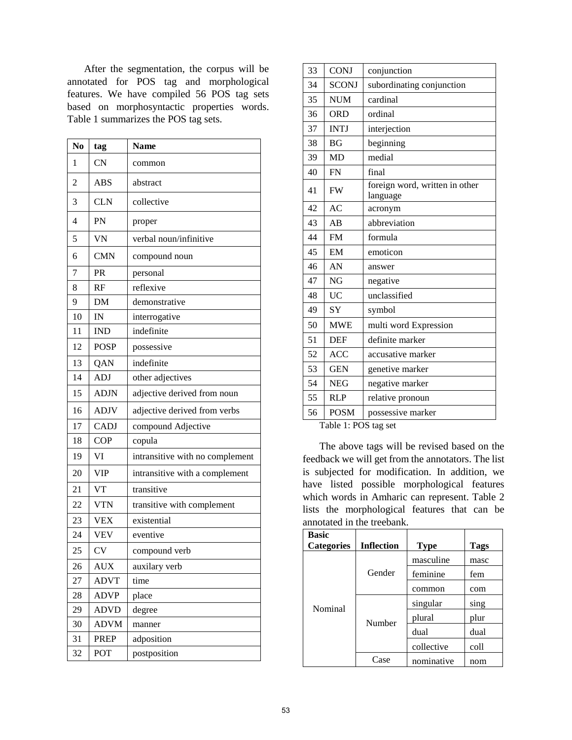After the segmentation, the corpus will be annotated for POS tag and morphological features. We have compiled 56 POS tag sets based on morphosyntactic properties words. Table 1 summarizes the POS tag sets.

| N <sub>0</sub> | tag         | <b>Name</b>                     |  |
|----------------|-------------|---------------------------------|--|
| 1              | <b>CN</b>   | common                          |  |
| $\overline{2}$ | <b>ABS</b>  | abstract                        |  |
| 3              | <b>CLN</b>  | collective                      |  |
| 4              | PN          | proper                          |  |
| 5              | <b>VN</b>   | verbal noun/infinitive          |  |
| 6              | <b>CMN</b>  | compound noun                   |  |
| 7              | PR          | personal                        |  |
| 8              | RF          | reflexive                       |  |
| 9              | <b>DM</b>   | demonstrative                   |  |
| 10             | IN          | interrogative                   |  |
| 11             | <b>IND</b>  | indefinite                      |  |
| 12             | <b>POSP</b> | possessive                      |  |
| 13             | <b>QAN</b>  | indefinite                      |  |
| 14             | <b>ADJ</b>  | other adjectives                |  |
| 15             | <b>ADJN</b> | adjective derived from noun     |  |
| 16             | <b>ADJV</b> | adjective derived from verbs    |  |
| 17             | <b>CADJ</b> | compound Adjective              |  |
| 18             | <b>COP</b>  | copula                          |  |
| 19             | VI          | intransitive with no complement |  |
| 20             | <b>VIP</b>  | intransitive with a complement  |  |
| 21             | <b>VT</b>   | transitive                      |  |
| 22             | <b>VTN</b>  | transitive with complement      |  |
| 23             | <b>VEX</b>  | existential                     |  |
| 24             | <b>VEV</b>  | eventive                        |  |
| 25             | <b>CV</b>   | compound verb                   |  |
| 26             | <b>AUX</b>  | auxilary verb                   |  |
| 27             | <b>ADVT</b> | time                            |  |
| 28             | <b>ADVP</b> | place                           |  |
| 29             | <b>ADVD</b> | degree                          |  |
| 30             | <b>ADVM</b> | manner                          |  |
| 31             | <b>PREP</b> | adposition                      |  |
| 32             | POT         | postposition                    |  |

| 33 | <b>CONJ</b>  | conjunction                                |
|----|--------------|--------------------------------------------|
| 34 | <b>SCONJ</b> | subordinating conjunction                  |
| 35 | <b>NUM</b>   | cardinal                                   |
| 36 | <b>ORD</b>   | ordinal                                    |
| 37 | <b>INTJ</b>  | interjection                               |
| 38 | <b>BG</b>    | beginning                                  |
| 39 | <b>MD</b>    | medial                                     |
| 40 | <b>FN</b>    | final                                      |
| 41 | <b>FW</b>    | foreign word, written in other<br>language |
| 42 | AC           | acronym                                    |
| 43 | AB           | abbreviation                               |
| 44 | <b>FM</b>    | formula                                    |
| 45 | EM           | emoticon                                   |
| 46 | AN           | answer                                     |
| 47 | <b>NG</b>    | negative                                   |
| 48 | <b>UC</b>    | unclassified                               |
| 49 | <b>SY</b>    | symbol                                     |
| 50 | <b>MWE</b>   | multi word Expression                      |
| 51 | <b>DEF</b>   | definite marker                            |
| 52 | <b>ACC</b>   | accusative marker                          |
| 53 | <b>GEN</b>   | genetive marker                            |
| 54 | <b>NEG</b>   | negative marker                            |
| 55 | <b>RLP</b>   | relative pronoun                           |
| 56 | <b>POSM</b>  | possessive marker                          |

Table 1: POS tag set

The above tags will be revised based on the feedback we will get from the annotators. The list is subjected for modification. In addition, we have listed possible morphological features which words in Amharic can represent. Table 2 lists the morphological features that can be annotated in the treebank.

| <b>Basic</b>      |                   |             |             |
|-------------------|-------------------|-------------|-------------|
| <b>Categories</b> | <b>Inflection</b> | <b>Type</b> | <b>Tags</b> |
|                   | Gender            | masculine   | masc        |
|                   |                   | feminine    | fem         |
|                   |                   | common      | com         |
| Nominal           | Number            | singular    | sing        |
|                   |                   | plural      | plur        |
|                   |                   | dual        | dual        |
|                   |                   | collective  | coll        |
|                   | Case              | nominative  | nom         |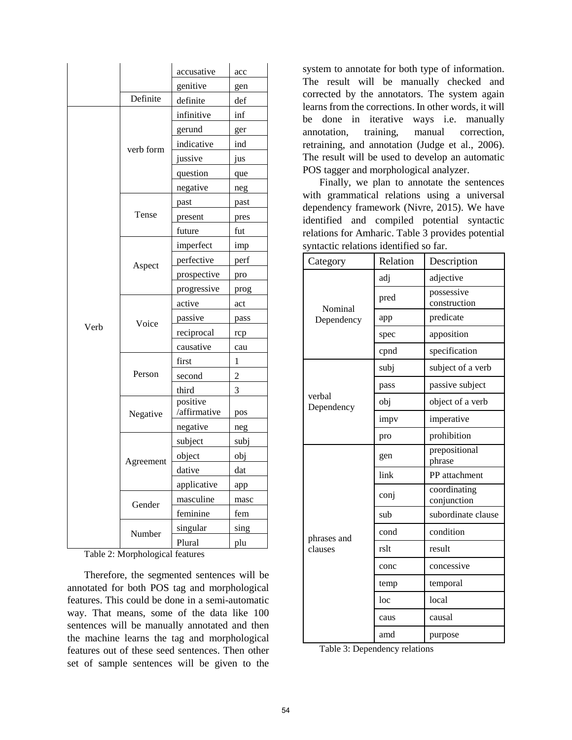|      |           | accusative               | acc         |
|------|-----------|--------------------------|-------------|
|      |           | genitive                 | gen         |
|      | Definite  | definite                 | def         |
|      |           | infinitive               | inf         |
|      | verb form | gerund                   | ger         |
|      |           | indicative               | ind         |
|      |           | jussive                  | jus         |
|      |           | question                 | que         |
|      |           | negative                 | neg         |
|      | Tense     | past                     | past        |
|      |           | present                  | pres        |
|      |           | future                   | fut         |
|      | Aspect    | imperfect                | imp         |
|      |           | perfective               | perf        |
|      |           | prospective              | pro         |
|      |           | progressive              | prog        |
|      |           | active                   | act         |
|      | Voice     | passive                  | pass        |
| Verb |           | reciprocal               | rcp         |
|      |           | causative                | cau         |
|      | Person    | first                    | 1           |
|      |           | second                   | 2           |
|      |           | third                    | 3           |
|      |           | positive<br>/affirmative |             |
|      | Negative  |                          | pos         |
|      |           | negative<br>subject      | neg         |
|      | Agreement |                          | subj<br>obj |
|      |           | object<br>dative         | dat         |
|      |           | applicative              |             |
|      |           | masculine                | app         |
|      | Gender    | feminine                 | masc        |
|      |           |                          | fem         |
|      | Number    | singular                 | sing        |
|      |           | Plural                   | plu         |

Table 2: Morphological features

Therefore, the segmented sentences will be annotated for both POS tag and morphological features. This could be done in a semi-automatic way. That means, some of the data like 100 sentences will be manually annotated and then the machine learns the tag and morphological features out of these seed sentences. Then other set of sample sentences will be given to the system to annotate for both type of information. The result will be manually checked and corrected by the annotators. The system again learns from the corrections. In other words, it will be done in iterative ways i.e. manually annotation, training, manual correction, retraining, and annotation (Judge et al., 2006). The result will be used to develop an automatic POS tagger and morphological analyzer.

Finally, we plan to annotate the sentences with grammatical relations using a universal dependency framework (Nivre, 2015). We have identified and compiled potential syntactic relations for Amharic. Table 3 provides potential syntactic relations identified so far.

| Category             | Relation | Description                 |  |
|----------------------|----------|-----------------------------|--|
|                      | adj      | adjective                   |  |
| Nominal              | pred     | possessive<br>construction  |  |
| Dependency           | app      | predicate                   |  |
|                      | spec     | apposition                  |  |
|                      | cpnd     | specification               |  |
|                      | subj     | subject of a verb           |  |
|                      | pass     | passive subject             |  |
| verbal<br>Dependency | obj      | object of a verb            |  |
|                      | impv     | imperative                  |  |
|                      | pro      | prohibition                 |  |
|                      | gen      | prepositional<br>phrase     |  |
|                      | link     | PP attachment               |  |
|                      | conj     | coordinating<br>conjunction |  |
|                      | sub      | subordinate clause          |  |
| phrases and          | cond     | condition                   |  |
| clauses              | rslt     | result                      |  |
|                      | conc     | concessive                  |  |
|                      | temp     | temporal                    |  |
|                      | loc      | local                       |  |
|                      | caus     | causal                      |  |
|                      | amd      | purpose                     |  |

Table 3: Dependency relations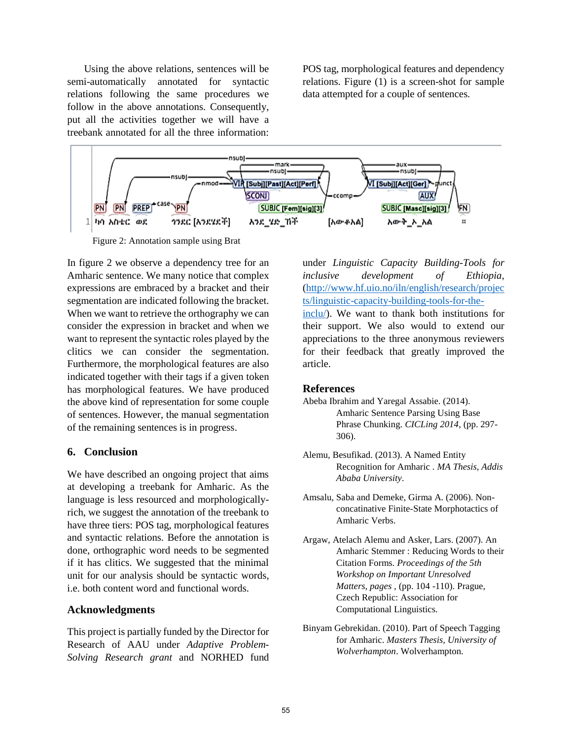Using the above relations, sentences will be semi-automatically annotated for syntactic relations following the same procedures we follow in the above annotations. Consequently, put all the activities together we will have a treebank annotated for all the three information: POS tag, morphological features and dependency relations. Figure (1) is a screen-shot for sample data attempted for a couple of sentences.



Figure 2: Annotation sample using Brat

In figure 2 we observe a dependency tree for an Amharic sentence. We many notice that complex expressions are embraced by a bracket and their segmentation are indicated following the bracket. When we want to retrieve the orthography we can consider the expression in bracket and when we want to represent the syntactic roles played by the clitics we can consider the segmentation. Furthermore, the morphological features are also indicated together with their tags if a given token has morphological features. We have produced the above kind of representation for some couple of sentences. However, the manual segmentation of the remaining sentences is in progress.

## **6. Conclusion**

We have described an ongoing project that aims at developing a treebank for Amharic. As the language is less resourced and morphologicallyrich, we suggest the annotation of the treebank to have three tiers: POS tag, morphological features and syntactic relations. Before the annotation is done, orthographic word needs to be segmented if it has clitics. We suggested that the minimal unit for our analysis should be syntactic words, i.e. both content word and functional words.

## **Acknowledgments**

This project is partially funded by the Director for Research of AAU under *Adaptive Problem-Solving Research grant* and NORHED fund under *Linguistic Capacity Building-Tools for inclusive development of Ethiopia,*  [\(http://www.hf.uio.no/iln/english/research/projec](http://www.hf.uio.no/iln/english/research/projects/linguistic-capacity-building-tools-for-the-inclu/) [ts/linguistic-capacity-building-tools-for-the](http://www.hf.uio.no/iln/english/research/projects/linguistic-capacity-building-tools-for-the-inclu/)[inclu/\)](http://www.hf.uio.no/iln/english/research/projects/linguistic-capacity-building-tools-for-the-inclu/). We want to thank both institutions for their support. We also would to extend our appreciations to the three anonymous reviewers for their feedback that greatly improved the article.

## **References**

- Abeba Ibrahim and Yaregal Assabie. (2014). Amharic Sentence Parsing Using Base Phrase Chunking. *CICLing 2014*, (pp. 297- 306).
- Alemu, Besufikad. (2013). A Named Entity Recognition for Amharic . *MA Thesis, Addis Ababa University*.
- Amsalu, Saba and Demeke, Girma A. (2006). Nonconcatinative Finite-State Morphotactics of Amharic Verbs.
- Argaw, Atelach Alemu and Asker, Lars. (2007). An Amharic Stemmer : Reducing Words to their Citation Forms. *Proceedings of the 5th Workshop on Important Unresolved Matters, pages ,* (pp. 104 -110). Prague, Czech Republic: Association for Computational Linguistics.
- Binyam Gebrekidan. (2010). Part of Speech Tagging for Amharic. *Masters Thesis, University of Wolverhampton*. Wolverhampton.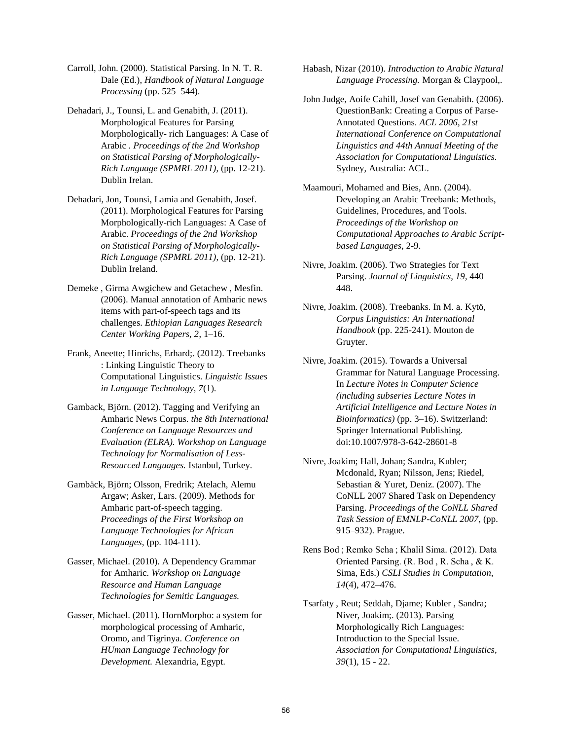- Carroll, John. (2000). Statistical Parsing. In N. T. R. Dale (Ed.), *Handbook of Natural Language Processing* (pp. 525–544).
- Dehadari, J., Tounsi, L. and Genabith, J. (2011). Morphological Features for Parsing Morphologically- rich Languages: A Case of Arabic . *Proceedings of the 2nd Workshop on Statistical Parsing of Morphologically-Rich Language (SPMRL 2011)*, (pp. 12-21). Dublin Irelan.
- Dehadari, Jon, Tounsi, Lamia and Genabith, Josef. (2011). Morphological Features for Parsing Morphologically-rich Languages: A Case of Arabic. *Proceedings of the 2nd Workshop on Statistical Parsing of Morphologically-Rich Language (SPMRL 2011)*, (pp. 12-21). Dublin Ireland.
- Demeke , Girma Awgichew and Getachew , Mesfin. (2006). Manual annotation of Amharic news items with part-of-speech tags and its challenges. *Ethiopian Languages Research Center Working Papers, 2*, 1–16.
- Frank, Aneette; Hinrichs, Erhard;. (2012). Treebanks : Linking Linguistic Theory to Computational Linguistics. *Linguistic Issues in Language Technology, 7*(1).
- Gamback, Björn. (2012). Tagging and Verifying an Amharic News Corpus. *the 8th International Conference on Language Resources and Evaluation (ELRA). Workshop on Language Technology for Normalisation of Less-Resourced Languages.* Istanbul, Turkey.
- Gambäck, Björn; Olsson, Fredrik; Atelach, Alemu Argaw; Asker, Lars. (2009). Methods for Amharic part-of-speech tagging. *Proceedings of the First Workshop on Language Technologies for African Languages*, (pp. 104-111).
- Gasser, Michael. (2010). A Dependency Grammar for Amharic. *Workshop on Language Resource and Human Language Technologies for Semitic Languages.*
- Gasser, Michael. (2011). HornMorpho: a system for morphological processing of Amharic, Oromo, and Tigrinya. *Conference on HUman Language Technology for Development.* Alexandria, Egypt.

Habash, Nizar (2010). *Introduction to Arabic Natural Language Processing.* Morgan & Claypool,.

- John Judge, Aoife Cahill, Josef van Genabith. (2006). QuestionBank: Creating a Corpus of Parse-Annotated Questions. *ACL 2006, 21st International Conference on Computational Linguistics and 44th Annual Meeting of the Association for Computational Linguistics.* Sydney, Australia: ACL.
- Maamouri, Mohamed and Bies, Ann. (2004). Developing an Arabic Treebank: Methods, Guidelines, Procedures, and Tools. *Proceedings of the Workshop on Computational Approaches to Arabic Scriptbased Languages*, 2-9.
- Nivre, Joakim. (2006). Two Strategies for Text Parsing. *Journal of Linguistics, 19*, 440– 448.
- Nivre, Joakim. (2008). Treebanks. In M. a. Kytö, *Corpus Linguistics: An International Handbook* (pp. 225-241). Mouton de Gruyter.
- Nivre, Joakim. (2015). Towards a Universal Grammar for Natural Language Processing. In *Lecture Notes in Computer Science (including subseries Lecture Notes in Artificial Intelligence and Lecture Notes in Bioinformatics)* (pp. 3–16). Switzerland: Springer International Publishing. doi:10.1007/978-3-642-28601-8
- Nivre, Joakim; Hall, Johan; Sandra, Kubler; Mcdonald, Ryan; Nilsson, Jens; Riedel, Sebastian & Yuret, Deniz. (2007). The CoNLL 2007 Shared Task on Dependency Parsing. *Proceedings of the CoNLL Shared Task Session of EMNLP-CoNLL 2007*, (pp. 915–932). Prague.
- Rens Bod ; Remko Scha ; Khalil Sima. (2012). Data Oriented Parsing. (R. Bod , R. Scha , & K. Sima, Eds.) *CSLI Studies in Computation, 14*(4), 472–476.
- Tsarfaty , Reut; Seddah, Djame; Kubler , Sandra; Niver, Joakim;. (2013). Parsing Morphologically Rich Languages: Introduction to the Special Issue. *Association for Computational Linguistics, 39*(1), 15 - 22.